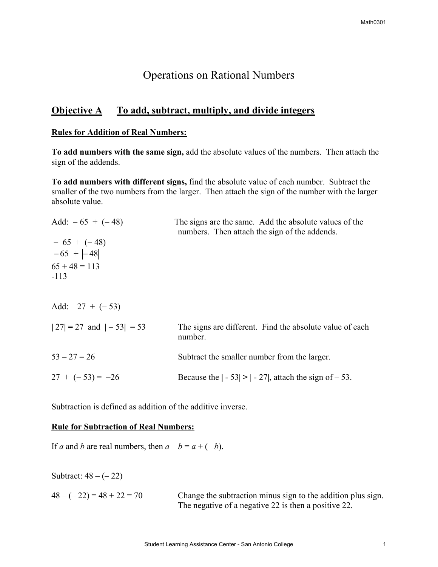# Operations on Rational Numbers

# **Objective A** To add, subtract, multiply, and divide integers

#### **Rules for Addition of Real Numbers:**

**To add numbers with the same sign,** add the absolute values of the numbers. Then attach the sign of the addends.

**To add numbers with different signs,** find the absolute value of each number. Subtract the smaller of the two numbers from the larger. Then attach the sign of the number with the larger absolute value.

| Add: $-65 + (-48)$               | The signs are the same. Add the absolute values of the<br>numbers. Then attach the sign of the addends. |
|----------------------------------|---------------------------------------------------------------------------------------------------------|
| $-65 + (-48)$<br>$ -65  +  -48 $ |                                                                                                         |
| $65 + 48 = 113$<br>$-113$        |                                                                                                         |
| Add: $27 + (-53)$                |                                                                                                         |
| $ 27  = 27$ and $ -53  = 53$     | The signs are different. Find the absolute value of each<br>number.                                     |
| $53 - 27 = 26$                   | Subtract the smaller number from the larger.                                                            |
| $27 + (-53) = -26$               | Because the $ -53 $ > $ -27 $ , attach the sign of $-53$ .                                              |

Subtraction is defined as addition of the additive inverse.

## **Rule for Subtraction of Real Numbers:**

If *a* and *b* are real numbers, then  $a - b = a + (-b)$ .

Subtract:  $48 - (-22)$ 

 $48 - (-22) = 48 + 22 = 70$  Change the subtraction minus sign to the addition plus sign. The negative of a negative 22 is then a positive 22.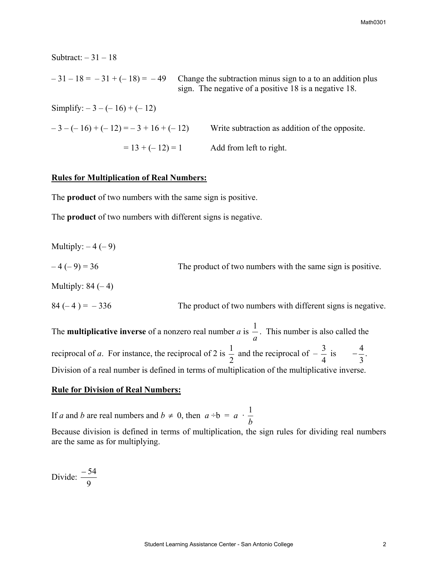$-31 - 18 = -31 + (-18) = -49$  Change the subtraction minus sign to a to an addition plus sign. The negative of a positive 18 is a negative 18. Simplify:  $-3 - (-16) + (-12)$  $-3 - (-16) + (-12) = -3 + 16 + (-12)$  Write subtraction as addition of the opposite.  $= 13 + (-12) = 1$  Add from left to right.

### **Rules for Multiplication of Real Numbers:**

Subtract:  $-31 - 18$ 

The **product** of two numbers with the same sign is positive.

The **product** of two numbers with different signs is negative.

| Multiply: $-4$ ( $-9$ ) |                                                              |
|-------------------------|--------------------------------------------------------------|
| $-4(-9) = 36$           | The product of two numbers with the same sign is positive.   |
| Multiply: $84 (-4)$     |                                                              |
| $84(-4) = -336$         | The product of two numbers with different signs is negative. |

The **multiplicative inverse** of a nonzero real number *a* is *a*  $\frac{1}{x}$ . This number is also called the reciprocal of *a*. For instance, the reciprocal of 2 is  $\frac{1}{2}$  and the reciprocal of  $-\frac{3}{4}$  is  $-\frac{4}{3}$ . 3  $-\frac{4}{3}$ . Division of a real number is defined in terms of multiplication of the multiplicative inverse.

### **Rule for Division of Real Numbers:**

If *a* and *b* are real numbers and  $b \neq 0$ , then  $a \div b = a$ . *b* 1

Because division is defined in terms of multiplication, the sign rules for dividing real numbers are the same as for multiplying.

Divide: 9 − 54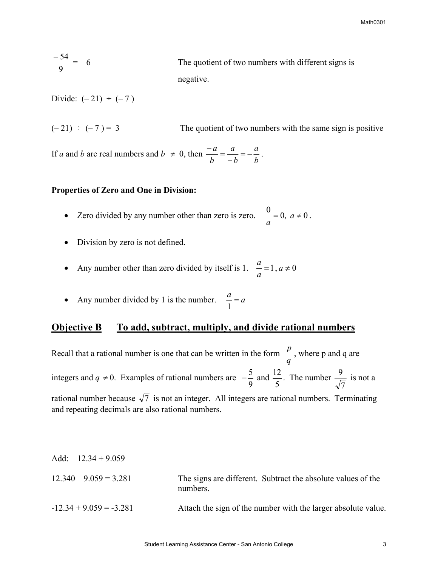$\frac{-54}{9} = -6$ The quotient of two numbers with different signs is negative.

Divide:  $(-21) \div (-7)$ 

 $(-21) \div (-7) = 3$  The quotient of two numbers with the same sign is positive

If *a* and *b* are real numbers and  $b \neq 0$ , then  $\frac{-a}{b} = \frac{a}{-b} = -\frac{a}{b}$ *b a*  $\frac{-a}{b} = \frac{a}{-b} = -\frac{a}{b}$ .

## **Properties of Zero and One in Division:**

- Zero divided by any number other than zero is zero.  $\frac{0}{a} = 0$ ,  $a \ne 0$ .
- Division by zero is not defined.
- Any number other than zero divided by itself is 1.  $\mu = 1, a \neq 0$ *a a*
- Any number divided by 1 is the number.  $\frac{a}{1} = a$

## **Objective B** To add, subtract, multiply, and divide rational numbers

Recall that a rational number is one that can be written in the form *q*  $\frac{p}{q}$ , where p and q are integers and *q*  $\neq$  0. Examples of rational numbers are  $-\frac{5}{9}$  and 5  $\frac{12}{1}$ . The number 7  $\frac{9}{5}$  is not a rational number because  $\sqrt{7}$  is not an integer. All integers are rational numbers. Terminating and repeating decimals are also rational numbers.

| Add: $-12.34 + 9.059$     |                                                                          |
|---------------------------|--------------------------------------------------------------------------|
| $12.340 - 9.059 = 3.281$  | The signs are different. Subtract the absolute values of the<br>numbers. |
| $-12.34 + 9.059 = -3.281$ | Attach the sign of the number with the larger absolute value.            |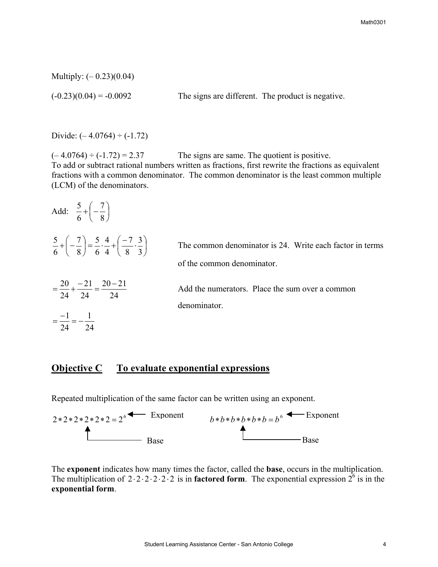Multiply: (– 0.23)(0.04)

 $(-0.23)(0.04) = -0.0092$  The signs are different. The product is negative.

Divide:  $(-4.0764) \div (-1.72)$ 

 $(-4.0764) \div (-1.72) = 2.37$  The signs are same. The quotient is positive. To add or subtract rational numbers written as fractions, first rewrite the fractions as equivalent fractions with a common denominator. The common denominator is the least common multiple (LCM) of the denominators.

| Add: $\frac{5}{6} + \left(-\frac{7}{8}\right)$                                                                        |                                                                                        |
|-----------------------------------------------------------------------------------------------------------------------|----------------------------------------------------------------------------------------|
| $rac{5}{6} + \left(-\frac{7}{8}\right) = \frac{5}{6} \cdot \frac{4}{4} + \left(\frac{-7}{8} \cdot \frac{3}{3}\right)$ | The common denominator is 24. Write each factor in terms<br>of the common denominator. |
| $=\frac{20}{24}+\frac{-21}{24}=\frac{20-21}{24}$                                                                      | Add the numerators. Place the sum over a common<br>denominator.                        |
| $=\frac{-1}{-}=-\frac{1}{-}$<br>24 24                                                                                 |                                                                                        |

# **Objective C** To evaluate exponential expressions

Repeated multiplication of the same factor can be written using an exponent.



The **exponent** indicates how many times the factor, called the **base**, occurs in the multiplication. The multiplication of  $2 \cdot 2 \cdot 2 \cdot 2 \cdot 2 \cdot 2$  is in **factored form**. The exponential expression  $2^6$  is in the **exponential form**.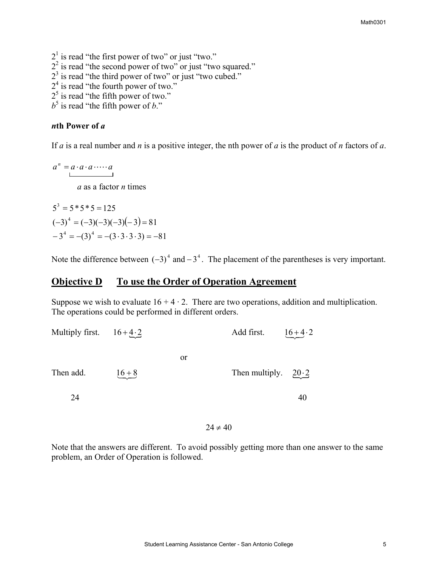$2<sup>1</sup>$  is read "the first power of two" or just "two."  $2<sup>2</sup>$  is read "the second power of two" or just "two squared."  $2<sup>3</sup>$  is read "the third power of two" or just "two cubed."  $2<sup>4</sup>$  is read "the fourth power of two."  $2<sup>5</sup>$  is read "the fifth power of two."

 $b^5$  is read "the fifth power of *b*."

## *n***th Power of** *a*

If *a* is a real number and *n* is a positive integer, the nth power of *a* is the product of *n* factors of *a*.

 $a^n = a \cdot a \cdot a \cdot \cdots \cdot a$ *a* as a factor *n* times

 $(-3)^4 = (-3)(-3)(-3)(-3) = 81$  $-3^4 = -(3^3 - 3 \cdot 3 \cdot 3) = -81$  $5^3 = 5 * 5 * 5 = 125$ 

Note the difference between  $(-3)^4$  and  $-3^4$ . The placement of the parentheses is very important.

## **Objective D To use the Order of Operation Agreement**

Suppose we wish to evaluate  $16 + 4 \cdot 2$ . There are two operations, addition and multiplication. The operations could be performed in different orders.

| Multiply first. $16 + 4 \cdot 2$ |          |               | Add first.                  | $16 + 4 \cdot 2$ |
|----------------------------------|----------|---------------|-----------------------------|------------------|
|                                  |          | <sub>or</sub> |                             |                  |
| Then add.                        | $16 + 8$ |               | Then multiply. $20 \cdot 2$ |                  |
| 24                               |          |               |                             | 40               |

 $24 \neq 40$ 

Note that the answers are different. To avoid possibly getting more than one answer to the same problem, an Order of Operation is followed.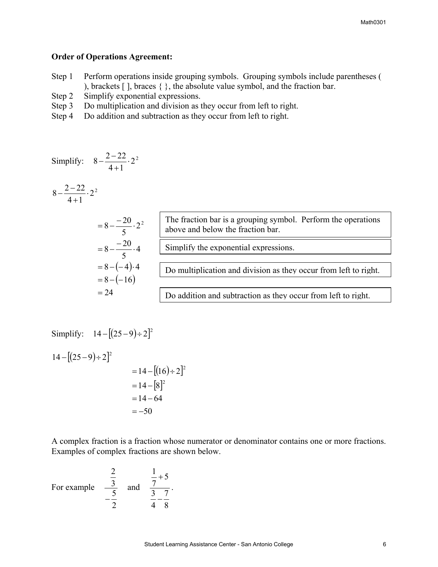## **Order of Operations Agreement:**

- Step 1 Perform operations inside grouping symbols. Grouping symbols include parentheses ( ), brackets [ ], braces { }, the absolute value symbol, and the fraction bar.
- Step 2 Simplify exponential expressions.
- Step 3 Do multiplication and division as they occur from left to right.
- Step 4 Do addition and subtraction as they occur from left to right.

Simplify: 
$$
8 - \frac{2 - 22}{4 + 1} \cdot 2^2
$$

$$
8-\frac{2-22}{4+1}\cdot 2^2
$$

| $=8-\frac{-20}{5}\cdot 2^2$           | The fraction bar is a grouping symbol. Perform the operations<br>above and below the fraction bar. |
|---------------------------------------|----------------------------------------------------------------------------------------------------|
| $=8-\frac{-20}{5}\cdot 4$             | Simplify the exponential expressions.                                                              |
| $= 8 - (-4) \cdot 4$<br>$= 8 - (-16)$ | Do multiplication and division as they occur from left to right.                                   |
| $= 24$                                | Do addition and subtraction as they occur from left to right.                                      |

Simplify: 
$$
14 - [(25 - 9) \div 2]^2
$$
  
\n $14 - [(25 - 9) \div 2]^2$   
\n $= 14 - [(16) \div 2]^2$   
\n $= 14 - [8]^2$ 

 $=-50$  $=14-64$ 

A complex fraction is a fraction whose numerator or denominator contains one or more fractions. Examples of complex fractions are shown below.

For example 
$$
\frac{\frac{2}{3}}{-\frac{5}{2}}
$$
 and  $\frac{\frac{1}{7}+5}{\frac{3}{4}-\frac{7}{8}}$ .